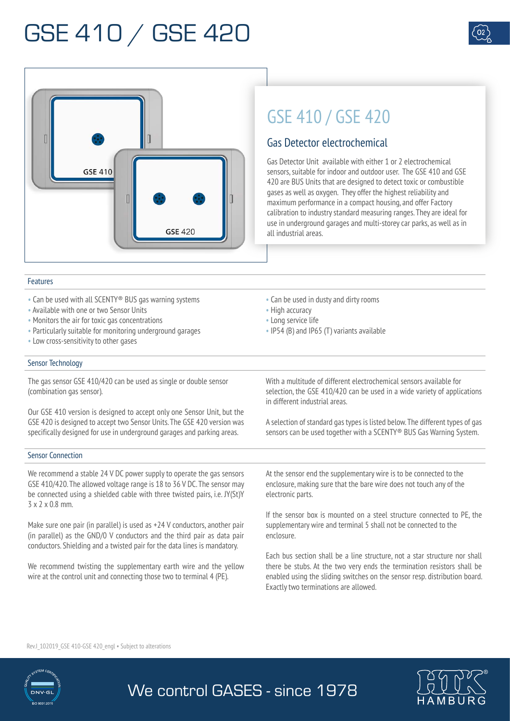



### Features

- Can be used with all SCENTY® BUS gas warning systems
- Available with one or two Sensor Units
- Monitors the air for toxic gas concentrations
- Particularly suitable for monitoring underground garages
- Low cross-sensitivity to other gases

### Sensor Technology

The gas sensor GSE 410/420 can be used as single or double sensor (combination gas sensor).

Our GSE 410 version is designed to accept only one Sensor Unit, but the GSE 420 is designed to accept two Sensor Units. The GSE 420 version was specifically designed for use in underground garages and parking areas.

#### Sensor Connection

We recommend a stable 24 V DC power supply to operate the gas sensors GSE 410/420. The allowed voltage range is 18 to 36 V DC. The sensor may be connected using a shielded cable with three twisted pairs, i.e. JY(St)Y 3 x 2 x 0.8 mm.

Make sure one pair (in parallel) is used as +24 V conductors, another pair (in parallel) as the GND/0 V conductors and the third pair as data pair conductors. Shielding and a twisted pair for the data lines is mandatory.

We recommend twisting the supplementary earth wire and the yellow wire at the control unit and connecting those two to terminal 4 (PE).

• Can be used in dusty and dirty rooms

GSE 410 / GSE 420

Gas Detector electrochemical

Gas Detector Unit available with either 1 or 2 electrochemical sensors, suitable for indoor and outdoor user. The GSE 410 and GSE 420 are BUS Units that are designed to detect toxic or combustible gases as well as oxygen. They offer the highest reliability and maximum performance in a compact housing, and offer Factory calibration to industry standard measuring ranges. They are ideal for use in underground garages and multi-storey car parks, as well as in

• High accuracy

We control GASES - since 1978

• Long service life

all industrial areas.

• IP54 (B) and IP65 (T) variants available

With a multitude of different electrochemical sensors available for selection, the GSE 410/420 can be used in a wide variety of applications in different industrial areas.

A selection of standard gas types is listed below. The different types of gas sensors can be used together with a SCENTY® BUS Gas Warning System.

At the sensor end the supplementary wire is to be connected to the enclosure, making sure that the bare wire does not touch any of the electronic parts.

If the sensor box is mounted on a steel structure connected to PE, the supplementary wire and terminal 5 shall not be connected to the enclosure.

Each bus section shall be a line structure, not a star structure nor shall there be stubs. At the two very ends the termination resistors shall be enabled using the sliding switches on the sensor resp. distribution board. Exactly two terminations are allowed.

Rev.I 102019 GSE 410-GSE 420 engl • Subject to alterations



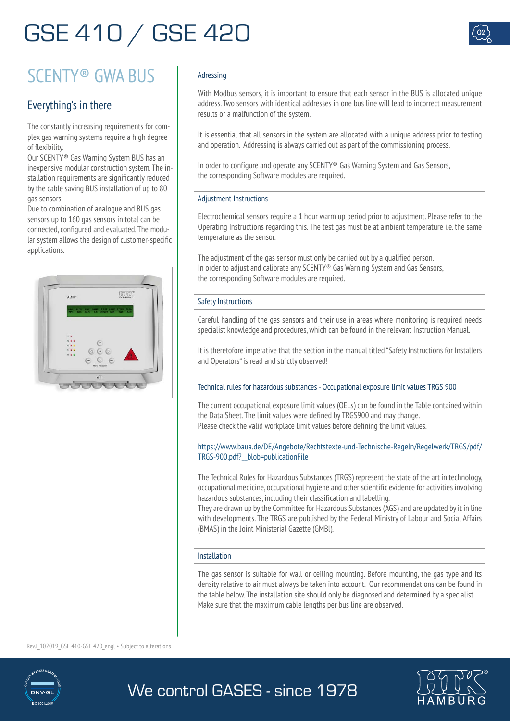

## SCENTY® GWA BUS

### Everything's in there

The constantly increasing requirements for complex gas warning systems require a high degree of flexibility.

Our SCENTY® Gas Warning System BUS has an inexpensive modular construction system. The installation requirements are significantly reduced by the cable saving BUS installation of up to 80 gas sensors.

Due to combination of analogue and BUS gas sensors up to 160 gas sensors in total can be connected, configured and evaluated. The modular system allows the design of customer-specific applications.



### Adressing

With Modbus sensors, it is important to ensure that each sensor in the BUS is allocated unique address. Two sensors with identical addresses in one bus line will lead to incorrect measurement results or a malfunction of the system.

It is essential that all sensors in the system are allocated with a unique address prior to testing and operation. Addressing is always carried out as part of the commissioning process.

In order to configure and operate any SCENTY<sup>®</sup> Gas Warning System and Gas Sensors, the corresponding Software modules are required.

### Adjustment Instructions

Electrochemical sensors require a 1 hour warm up period prior to adjustment. Please refer to the Operating Instructions regarding this. The test gas must be at ambient temperature i.e. the same temperature as the sensor.

The adjustment of the gas sensor must only be carried out by a qualified person. In order to adjust and calibrate any SCENTY® Gas Warning System and Gas Sensors, the corresponding Software modules are required.

### Safety Instructions

Careful handling of the gas sensors and their use in areas where monitoring is required needs specialist knowledge and procedures, which can be found in the relevant Instruction Manual.

It is theretofore imperative that the section in the manual titled "Safety Instructions for Installers and Operators" is read and strictly observed!

### Technical rules for hazardous substances - Occupational exposure limit values TRGS 900

The current occupational exposure limit values (OELs) can be found in the Table contained within the Data Sheet. The limit values were defined by TRGS900 and may change. Please check the valid workplace limit values before defining the limit values.

### https://www.baua.de/DE/Angebote/Rechtstexte-und-Technische-Regeln/Regelwerk/TRGS/pdf/ TRGS-900.pdf?\_\_blob=publicationFile

The Technical Rules for Hazardous Substances (TRGS) represent the state of the art in technology, occupational medicine, occupational hygiene and other scientific evidence for activities involving hazardous substances, including their classification and labelling.

They are drawn up by the Committee for Hazardous Substances (AGS) and are updated by it in line with developments. The TRGS are published by the Federal Ministry of Labour and Social Affairs (BMAS) in the Joint Ministerial Gazette (GMBl).

### Installation

The gas sensor is suitable for wall or ceiling mounting. Before mounting, the gas type and its density relative to air must always be taken into account. Our recommendations can be found in the table below. The installation site should only be diagnosed and determined by a specialist. Make sure that the maximum cable lengths per bus line are observed.

Rev.I 102019 GSE 410-GSE 420 engl • Subject to alterations





### We control GASES - since 1978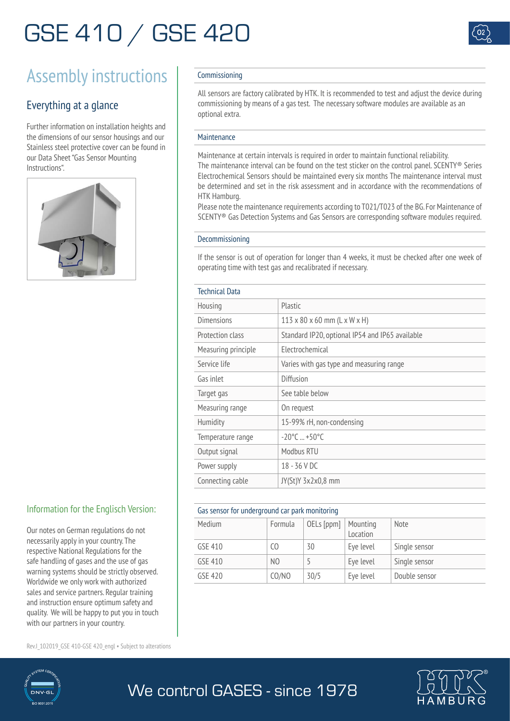

## Assembly instructions Commissioning

### Everything at a glance

Further information on installation heights and the dimensions of our sensor housings and our Stainless steel protective cover can be found in our Data Sheet "Gas Sensor Mounting Instructions".



### Information for the Englisch Version:

Our notes on German regulations do not necessarily apply in your country. The respective National Regulations for the safe handling of gases and the use of gas warning systems should be strictly observed. Worldwide we only work with authorized sales and service partners. Regular training and instruction ensure optimum safety and quality. We will be happy to put you in touch with our partners in your country.

Rev.I 102019 GSE 410-GSE 420 engl • Subject to alterations



All sensors are factory calibrated by HTK. It is recommended to test and adjust the device during commissioning by means of a gas test. The necessary software modules are available as an optional extra.

### Maintenance

Maintenance at certain intervals is required in order to maintain functional reliability. The maintenance interval can be found on the test sticker on the control panel. SCENTY® Series Electrochemical Sensors should be maintained every six months The maintenance interval must be determined and set in the risk assessment and in accordance with the recommendations of HTK Hamburg.

Please note the maintenance requirements according to T021/T023 of the BG. For Maintenance of SCENTY® Gas Detection Systems and Gas Sensors are corresponding software modules required.

#### Decommissioning

If the sensor is out of operation for longer than 4 weeks, it must be checked after one week of operating time with test gas and recalibrated if necessary.

|  |  | Technical Data |  |
|--|--|----------------|--|
|  |  |                |  |
|  |  |                |  |

| ictillitat Data     |                                                 |  |  |  |  |
|---------------------|-------------------------------------------------|--|--|--|--|
| Housing             | Plastic                                         |  |  |  |  |
| <b>Dimensions</b>   | $113 \times 80 \times 60$ mm (L x W x H)        |  |  |  |  |
| Protection class    | Standard IP20, optional IP54 and IP65 available |  |  |  |  |
| Measuring principle | Flectrochemical                                 |  |  |  |  |
| Service life        | Varies with gas type and measuring range        |  |  |  |  |
| Gas inlet           | Diffusion                                       |  |  |  |  |
| Target gas          | See table below                                 |  |  |  |  |
| Measuring range     | On request                                      |  |  |  |  |
| Humidity            | 15-99% rH, non-condensing                       |  |  |  |  |
| Temperature range   | $-20^{\circ}$ C $+50^{\circ}$ C                 |  |  |  |  |
| Output signal       | Modbus RTU                                      |  |  |  |  |
| Power supply        | 18 - 36 V DC                                    |  |  |  |  |
| Connecting cable    | JY(St)Y 3x2x0,8 mm                              |  |  |  |  |
|                     |                                                 |  |  |  |  |

### Gas sensor for underground car park monitoring

|         | and sensor for anaciground car pain monitoring |            |                      |               |  |
|---------|------------------------------------------------|------------|----------------------|---------------|--|
| Medium  | Formula                                        | OELs [ppm] | Mounting<br>Location | <b>Note</b>   |  |
| GSE 410 | 0                                              | 30         | Eve level            | Single sensor |  |
| GSE 410 | N <sub>0</sub>                                 |            | Eve level            | Single sensor |  |
| GSE 420 | CO/NO                                          | 30/5       | Eye level            | Double sensor |  |



### We control GASES - since 1978